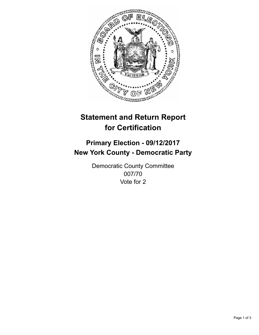

## **Statement and Return Report for Certification**

## **Primary Election - 09/12/2017 New York County - Democratic Party**

Democratic County Committee 007/70 Vote for 2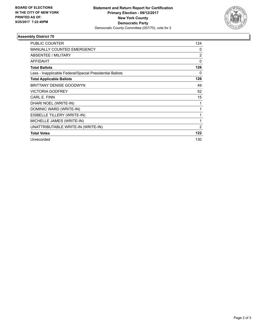

## **Assembly District 70**

| <b>PUBLIC COUNTER</b>                                    | 124            |
|----------------------------------------------------------|----------------|
| <b>MANUALLY COUNTED EMERGENCY</b>                        | 0              |
| ABSENTEE / MILITARY                                      | 2              |
| <b>AFFIDAVIT</b>                                         | 0              |
| <b>Total Ballots</b>                                     | 126            |
| Less - Inapplicable Federal/Special Presidential Ballots | 0              |
| <b>Total Applicable Ballots</b>                          | 126            |
| <b>BRITTANY DENISE GOODWYN</b>                           | 49             |
| <b>VICTORIA GODFREY</b>                                  | 52             |
| CARL E. FINN                                             | 15             |
| DHARI NOEL (WRITE-IN)                                    | 1              |
| DOMINIC WARD (WRITE-IN)                                  | 1              |
| EISBELLE TILLERY (WRITE-IN)                              | 1              |
| MICHELLE JAMES (WRITE-IN)                                | 1              |
| UNATTRIBUTABLE WRITE-IN (WRITE-IN)                       | $\overline{2}$ |
| <b>Total Votes</b>                                       | 122            |
| Unrecorded                                               | 130            |